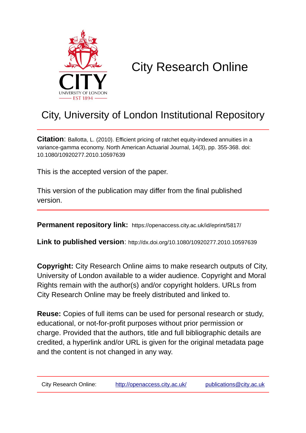

# City Research Online

## City, University of London Institutional Repository

**Citation**: Ballotta, L. (2010). Efficient pricing of ratchet equity-indexed annuities in a variance-gamma economy. North American Actuarial Journal, 14(3), pp. 355-368. doi: 10.1080/10920277.2010.10597639

This is the accepted version of the paper.

This version of the publication may differ from the final published version.

**Permanent repository link:** https://openaccess.city.ac.uk/id/eprint/5817/

**Link to published version**: http://dx.doi.org/10.1080/10920277.2010.10597639

**Copyright:** City Research Online aims to make research outputs of City, University of London available to a wider audience. Copyright and Moral Rights remain with the author(s) and/or copyright holders. URLs from City Research Online may be freely distributed and linked to.

**Reuse:** Copies of full items can be used for personal research or study, educational, or not-for-profit purposes without prior permission or charge. Provided that the authors, title and full bibliographic details are credited, a hyperlink and/or URL is given for the original metadata page and the content is not changed in any way.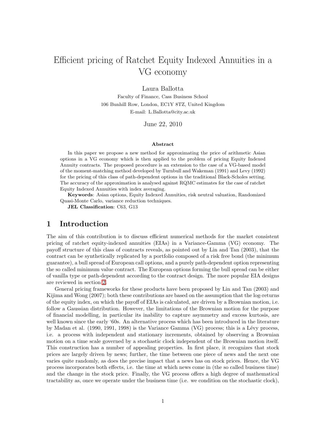## Efficient pricing of Ratchet Equity Indexed Annuities in a VG economy

Laura Ballotta

Faculty of Finance, Cass Business School 106 Bunhill Row, London, EC1Y 8TZ, United Kingdom E-mail: L.Ballotta@city.ac.uk

June 22, 2010

#### Abstract

In this paper we propose a new method for approximating the price of arithmetic Asian options in a VG economy which is then applied to the problem of pricing Equity Indexed Annuity contracts. The proposed procedure is an extension to the case of a VG-based model of the moment-matching method developed by Turnbull and Wakeman (1991) and Levy (1992) for the pricing of this class of path-dependent options in the traditional Black-Scholes setting. The accuracy of the approximation is analysed against RQMC estimates for the case of ratchet Equity Indexed Annuities with index averaging.

Keywords: Asian options, Equity Indexed Annuities, risk neutral valuation, Randomized Quasi-Monte Carlo, variance reduction techniques.

JEL Classification: C63, G13

## 1 Introduction

The aim of this contribution is to discuss efficient numerical methods for the market consistent pricing of ratchet equity-indexed annuities (EIAs) in a Variance-Gamma (VG) economy. The payoff structure of this class of contracts reveals, as pointed out by Lin and Tan (2003), that the contract can be synthetically replicated by a portfolio composed of a risk free bond (the minimum guarantee), a bull spread of European call options, and a purely path-dependent option representing the so called minimum value contract. The European options forming the bull spread can be either of vanilla type or path-dependent according to the contract design. The more popular EIA designs are reviewed in section [2.](#page-2-0)

General pricing frameworks for these products have been proposed by Lin and Tan (2003) and Kijima and Wong (2007); both these contributions are based on the assumption that the log-returns of the equity index, on which the payoff of EIAs is calculated, are driven by a Brownian motion, i.e. follow a Gaussian distribution. However, the limitations of the Brownian motion for the purpose of financial modelling, in particular its inability to capture asymmetry and excess kurtosis, are well known since the early '60s. An alternative process which has been introduced in the literature by Madan et al. (1990, 1991, 1998) is the Variance Gamma (VG) process; this is a Lévy process, i.e. a process with independent and stationary increments, obtained by observing a Brownian motion on a time scale governed by a stochastic clock independent of the Brownian motion itself. This construction has a number of appealing properties. In first place, it recognizes that stock prices are largely driven by news; further, the time between one piece of news and the next one varies quite randomly, as does the precise impact that a news has on stock prices. Hence, the VG process incorporates both effects, i.e. the time at which news come in (the so called business time) and the change in the stock price. Finally, the VG process offers a high degree of mathematical tractability as, once we operate under the business time (i.e. we condition on the stochastic clock),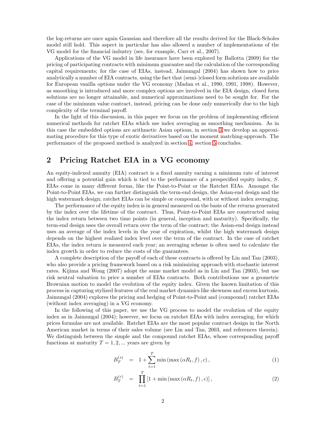the log-returns are once again Gaussian and therefore all the results derived for the Black-Scholes model still hold. This aspect in particular has also allowed a number of implementations of the VG model for the financial industry (see, for example, Carr et al., 2007).

Applications of the VG model in life insurance have been explored by Ballotta (2009) for the pricing of participating contracts with minimum guarantee and the calculation of the corresponding capital requirements; for the case of EIAs, instead, Jaimungal (2004) has shown how to price analytically a number of EIA contracts, using the fact that (semi-)closed form solutions are available for European vanilla options under the VG economy (Madan et al., 1990, 1991, 1998). However, as smoothing is introduced and more complex options are involved in the EIA design, closed form solutions are no longer attainable, and numerical approximations need to be sought for. For the case of the minimum value contract, instead, pricing can be done only numerically due to the high complexity of the terminal payoff.

In the light of this discussion, in this paper we focus on the problem of implementing efficient numerical methods for ratchet EIAs which use index averaging as smoothing mechanism. As in this case the embedded options are arithmetic Asian options, in section [3](#page-5-0) we develop an approximating procedure for this type of exotic derivatives based on the moment matching-approach. The performance of the proposed method is analyzed in section [4;](#page-6-0) section [5](#page-12-0) concludes.

## <span id="page-2-0"></span>2 Pricing Ratchet EIA in a VG economy

An equity-indexed annuity (EIA) contract is a fixed annuity earning a minimum rate of interest and offering a potential gain which is tied to the performance of a prespecified equity index, S. EIAs come in many different forms, like the Point-to-Point or the Ratchet EIAs. Amongst the Point-to-Point EIAs, we can further distinguish the term-end design, the Asian-end design and the high watermark design; ratchet EIAs can be simple or compound, with or without index averaging.

The performance of the equity index is in general measured on the basis of the returns generated by the index over the lifetime of the contract. Thus, Point-to-Point EIAs are constructed using the index return between two time points (in general, inception and maturity). Specifically, the term-end design uses the overall return over the term of the contract; the Asian-end design instead uses an average of the index levels in the year of expiration, whilst the high watermark design depends on the highest realized index level over the term of the contract. In the case of ratchet EIAs, the index return is measured each year; an averaging scheme is often used to calculate the index growth in order to reduce the costs of the guarantees.

A complete description of the payoff of each of these contracts is offered by Lin and Tan (2003), who also provide a pricing framework based on a risk minimizing approach with stochastic interest rates. Kijima and Wong (2007) adopt the same market model as in Lin and Tan (2003), but use risk neutral valuation to price a number of EIAs contracts. Both contributions use a geometric Brownian motion to model the evolution of the equity index. Given the known limitation of this process in capturing stylized features of the real market dynamics like skewness and excess kurtosis, Jaimungal (2004) explores the pricing and hedging of Point-to-Point and (compound) ratchet EIAs (without index averaging) in a VG economy.

In the following of this paper, we use the VG process to model the evolution of the equity index as in Jaimungal (2004); however, we focus on ratchet EIAs with index averaging, for which prices formulae are not available. Ratchet EIAs are the most popular contract design in the North American market in terms of their sales volume (see Lin and Tan, 2003, and references therein). We distinguish between the simple and the compound ratchet EIAs, whose corresponding payoff functions at maturity  $T = 1, 2, \dots$  years are given by

<span id="page-2-1"></span>
$$
B_T^{(s)} = 1 + \sum_{t=1}^T \min(\max(\alpha R_t, f), c), \qquad (1)
$$

$$
B_T^{(c)} = \prod_{t=1}^T [1 + \min(\max(\alpha R_t, f), c)], \qquad (2)
$$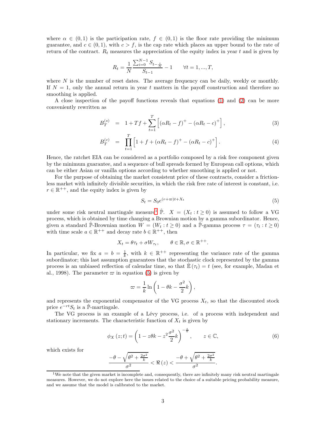where  $\alpha \in (0,1)$  is the participation rate,  $f \in (0,1)$  is the floor rate providing the minimum guarantee, and  $c \in (0,1)$ , with  $c > f$ , is the cap rate which places an upper bound to the rate of return of the contract.  $R_t$  measures the appreciation of the equity index in year t and is given by

$$
R_t = \frac{1}{N} \frac{\sum_{i=0}^{N-1} S_{t-\frac{i}{N}}}{S_{t-1}} - 1 \qquad \forall t = 1,...,T,
$$

where  $N$  is the number of reset dates. The average frequency can be daily, weekly or monthly. If  $N = 1$ , only the annual return in year t matters in the payoff construction and therefore no smoothing is applied.

A close inspection of the payoff functions reveals that equations [\(1\)](#page-2-1) and [\(2\)](#page-2-1) can be more conveniently rewritten as

$$
B_T^{(s)} = 1 + Tf + \sum_{t=1}^T \left[ (\alpha R_t - f)^+ - (\alpha R_t - c)^+ \right], \tag{3}
$$

$$
B_T^{(c)} = \prod_{t=1}^T \left[ 1 + f + (\alpha R_t - f)^+ - (\alpha R_t - c)^+ \right]. \tag{4}
$$

Hence, the ratchet EIA can be considered as a portfolio composed by a risk free component given by the minimum guarantee, and a sequence of bull spreads formed by European call options, which can be either Asian or vanilla options according to whether smoothing is applied or not.

For the purpose of obtaining the market consistent price of these contracts, consider a frictionless market with infinitely divisible securities, in which the risk free rate of interest is constant, i.e.  $r \in \mathbb{R}^{++}$ , and the equity index is given by

<span id="page-3-1"></span>
$$
S_t = S_0 e^{(r+\varpi)t + X_t} \tag{5}
$$

under some risk neutral martingale measure<sup>[1](#page-3-0)</sup>  $\mathbb{P}$ .  $X = (X_t : t \geq 0)$  is assumed to follow a VG process, which is obtained by time changing a Brownian motion by a gamma subordinator. Hence, given a standard  $\mathbb{P}$ -Brownian motion  $W = (W_t : t \geq 0)$  and a  $\mathbb{P}$ -gamma process  $\tau = (\tau_t : t \geq 0)$ with time scale  $a \in \mathbb{R}^{++}$  and decay rate  $b \in \mathbb{R}^{++}$ , then

$$
X_t = \theta \tau_t + \sigma W_{\tau_t}, \qquad \theta \in \mathbb{R}, \sigma \in \mathbb{R}^{++}.
$$

In particular, we fix  $a = b = \frac{1}{k}$ , with  $k \in \mathbb{R}^{++}$  representing the variance rate of the gamma subordinator; this last assumption guarantees that the stochastic clock represented by the gamma process is an unbiased reflection of calendar time, so that  $\mathbb{E}(\tau_t) = t$  (see, for example, Madan et al., 1998). The parameter  $\varpi$  in equation [\(5\)](#page-3-1) is given by

$$
\varpi = \frac{1}{k} \ln \left( 1 - \theta k - \frac{\sigma^2}{2} k \right),\,
$$

and represents the exponential compensator of the VG process  $X_t$ , so that the discounted stock price  $e^{-rt}S_t$  is a  $\hat{\mathbb{P}}$ -martingale.

The VG process is an example of a Lévy process, i.e. of a process with independent and stationary increments. The characteristic function of  $X_t$  is given by

<span id="page-3-2"></span>
$$
\phi_X(z;t) = \left(1 - z\theta k - z^2 \frac{\sigma^2}{2} k\right)^{-\frac{t}{k}}, \qquad z \in \mathbb{C},\tag{6}
$$

which exists for

$$
\frac{-\theta-\sqrt{\theta^2+\frac{2\sigma^2}{k}}}{\sigma^2}<\Re(z)<\frac{-\theta+\sqrt{\theta^2+\frac{2\sigma^2}{k}}}{\sigma^2}.
$$

<span id="page-3-0"></span><sup>&</sup>lt;sup>1</sup>We note that the given market is incomplete and, consequently, there are infinitely many risk neutral martingale measures. However, we do not explore here the issues related to the choice of a suitable pricing probability measure, and we assume that the model is calibrated to the market.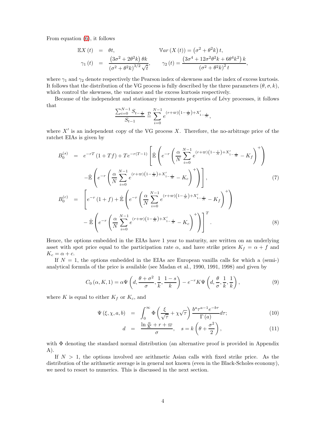From equation [\(6\)](#page-3-2), it follows

$$
\mathbb{E}X(t) = \theta t, \qquad \mathbb{V}ar(X(t)) = (\sigma^2 + \theta^2 k) t, \n\gamma_1(t) = \frac{(3\sigma^2 + 2\theta^2 k) \theta k}{(\sigma^2 + \theta^2 k)^{3/2} \sqrt{t}}, \qquad \gamma_2(t) = \frac{(3\sigma^4 + 12\sigma^2 \theta^2 k + 6\theta^4 k^2) k}{(\sigma^2 + \theta^2 k)^2 t},
$$

where  $\gamma_1$  and  $\gamma_2$  denote respectively the Pearson index of skewness and the index of excess kurtosis. It follows that the distribution of the VG process is fully described by the three parameters  $(\theta, \sigma, k)$ , which control the skewness, the variance and the excess kurtosis respectively.

Because of the independent and stationary increments properties of Lévy processes, it follows that

$$
\frac{\sum_{i=0}^{N-1} S_{t-\frac{i}{N}}}{S_{t-1}} \stackrel{\text{D}}{=} \sum_{i=0}^{N-1} e^{(r+\varpi)(1-\frac{i}{N})+X'_{1-\frac{i}{N}}},
$$

where  $X'$  is an independent copy of the VG process  $X$ . Therefore, the no-arbitrage price of the ratchet EIAs is given by

<span id="page-4-2"></span>
$$
B_0^{(s)} = e^{-rT} (1 + Tf) + Te^{-r(T-1)} \left[ \hat{\mathbb{E}} \left( e^{-r} \left( \frac{\alpha}{N} \sum_{i=0}^{N-1} e^{(r+\varpi)(1-\frac{i}{N})+X'_{1-\frac{i}{N}}}-K_f \right)^+ \right) \right]
$$
  

$$
- \hat{\mathbb{E}} \left( e^{-r} \left( \frac{\alpha}{N} \sum_{i=0}^{N-1} e^{(r+\varpi)(1-\frac{i}{N})+X'_{1-\frac{i}{N}}}-K_c \right)^+ \right) \right],
$$
  

$$
B_0^{(c)} = \left[ e^{-r} (1+f) + \hat{\mathbb{E}} \left( e^{-r} \left( \frac{\alpha}{N} \sum_{i=0}^{N-1} e^{(r+\varpi)(1-\frac{i}{N})+X'_{1-\frac{i}{N}}}-K_f \right)^+ \right) - \hat{\mathbb{E}} \left( e^{-r} \left( \frac{\alpha}{N} \sum_{i=0}^{N-1} e^{(r+\varpi)(1-\frac{i}{N})+X'_{1-\frac{i}{N}}}-K_c \right)^+ \right) \right]^T.
$$
  
(8)

Hence, the options embedded in the EIAs have 1 year to maturity, are written on an underlying asset with spot price equal to the participation rate  $\alpha$ , and have strike prices  $K_f = \alpha + f$  and  $K_c = \alpha + c$ .

If  $N = 1$ , the options embedded in the EIAs are European vanilla calls for which a (semi-) analytical formula of the price is available (see Madan et al., 1990, 1991, 1998) and given by

<span id="page-4-1"></span>
$$
C_0(\alpha, K, 1) = \alpha \Psi\left(d, \frac{\theta + \sigma^2}{\sigma}, \frac{1}{k}, \frac{1 - s}{k}\right) - e^{-r} K \Psi\left(d, \frac{\theta}{\sigma}, \frac{1}{k}, \frac{1}{k}\right),\tag{9}
$$

where K is equal to either  $K_f$  or  $K_c$ , and

<span id="page-4-0"></span>
$$
\Psi\left(\xi,\chi,a,b\right) = \int_0^\infty \Phi\left(\frac{\xi}{\sqrt{\tau}} + \chi\sqrt{\tau}\right) \frac{b^a \tau^{a-1} e^{-b\tau}}{\Gamma\left(a\right)} d\tau; \tag{10}
$$

$$
d = \frac{\ln \frac{\alpha}{K} + r + \varpi}{\sigma}, \quad s = k \left( \theta + \frac{\sigma^2}{2} \right), \tag{11}
$$

with Φ denoting the standard normal distribution (an alternative proof is provided in Appendix A).

If  $N > 1$ , the options involved are arithmetic Asian calls with fixed strike price. As the distribution of the arithmetic average is in general not known (even in the Black-Scholes economy), we need to resort to numerics. This is discussed in the next section.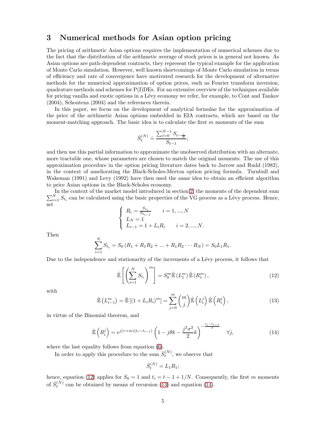## <span id="page-5-0"></span>3 Numerical methods for Asian option pricing

The pricing of arithmetic Asian options requires the implementation of numerical schemes due to the fact that the distribution of the arithmetic average of stock prices is in general not known. As Asian options are path-dependent contracts, they represent the typical example for the application of Monte Carlo simulation. However, well known shortcomings of Monte Carlo simulation in terms of efficiency and rate of convergence have motivated research for the development of alternative methods for the numerical approximation of option prices, such as Fourier transform inversion, quadrature methods and schemes for  $P(I)$ DEs. For an extensive overview of the techniques available for pricing vanilla and exotic options in a Lévy economy we refer, for example, to Cont and Tankov (2004), Schoutens (2004) and the references therein.

In this paper, we focus on the development of analytical formulae for the approximation of the price of the arithmetic Asian options embedded in EIA contracts, which are based on the moment-matching approach. The basic idea is to calculate the first  $m$  moments of the sum

$$
\bar{S}_t^{(N)} \doteq \frac{\sum_{i=0}^{N-1} S_{t-\frac{i}{N}}}{S_{t-1}},
$$

and then use this partial information to approximate the unobserved distribution with an alternate, more tractable one, whose parameters are chosen to match the original moments. The use of this approximation procedure in the option pricing literature dates back to Jarrow and Rudd (1982), in the context of ameliorating the Black-Scholes-Merton option pricing formula. Turnbull and Wakeman (1991) and Levy (1992) have then used the same idea to obtain an efficient algorithm to price Asian options in the Black-Scholes economy.

 $\sum_{i=1}^{N} S_{t_i}$  can be calculated using the basic properties of the VG process as a Lévy process. Hence, In the context of the market model introduced in section [2,](#page-2-0) the moments of the dependent sum set

$$
\begin{cases}\nR_i = \frac{S_{t_i}}{S_{t_{i-1}}} & i = 1, ..., N \\
L_N = 1 & \\
L_{i-1} = 1 + L_i R_i & i = 2, ..., N.\n\end{cases}
$$

Then

$$
\sum_{i=1}^{N} S_{t_i} = S_0 (R_1 + R_1 R_2 + \dots + R_1 R_2 \cdots R_N) = S_0 L_1 R_1.
$$

Due to the independence and stationarity of the increments of a Lévy process, it follows that

<span id="page-5-1"></span>
$$
\hat{\mathbb{E}}\left[\left(\sum_{i=1}^{N} S_{t_i}\right)^m\right] = S_0^m \hat{\mathbb{E}}\left(L_1^m\right) \hat{\mathbb{E}}\left(R_1^m\right),\tag{12}
$$

with

<span id="page-5-2"></span>
$$
\hat{\mathbb{E}}\left(L_{i-1}^m\right) = \hat{\mathbb{E}}\left[(1 + L_i R_i)^m\right] = \sum_{j=0}^m \binom{m}{j} \hat{\mathbb{E}}\left(L_i^j\right) \hat{\mathbb{E}}\left(R_i^j\right),\tag{13}
$$

in virtue of the Binomial theorem, and

<span id="page-5-3"></span>
$$
\hat{\mathbb{E}}\left(R_i^j\right) = e^{j(r+\varpi)(t_i - t_{i-1})} \left(1 - j\theta k - \frac{j^2 \sigma^2}{2} k\right)^{-\frac{t_i - t_{i-1}}{k}} \quad \forall j,
$$
\n(14)

where the last equality follows from equation [\(6\)](#page-3-2).

In order to apply this procedure to the sum  $\bar{S}_t^{(N)}$ , we observe that

$$
\bar{S}_t^{(N)} = L_1 R_1;
$$

hence, equation [\(12\)](#page-5-1) applies for  $S_0 = 1$  and  $t_i = t - 1 + 1/N$ . Consequently, the first m moments of  $\bar{S}_{t}^{(N)}$  can be obtained by means of recursion [\(13\)](#page-5-2) and equation [\(14\)](#page-5-3).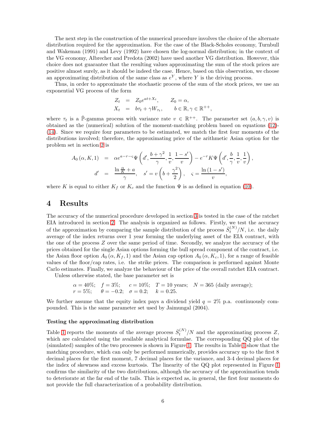The next step in the construction of the numerical procedure involves the choice of the alternate distribution required for the approximation. For the case of the Black-Scholes economy, Turnbull and Wakeman (1991) and Levy (1992) have chosen the log-normal distribution; in the context of the VG economy, Albrecher and Predota (2002) have used another VG distribution. However, this choice does not guarantee that the resulting values approximating the sum of the stock prices are positive almost surely, as it should be indeed the case. Hence, based on this observation, we choose an approximating distribution of the same class as  $e<sup>Y</sup>$ , where Y is the driving process.

Thus, in order to approximate the stochastic process of the sum of the stock prices, we use an exponential VG process of the form

$$
Z_t = Z_0 e^{at + X_t}, \t Z_0 = \alpha,
$$
  

$$
X_t = b\tau_t + \gamma W_{\tau_t}, \t b \in \mathbb{R}, \gamma \in \mathbb{R}^{++},
$$

where  $\tau_t$  is a  $\hat{\mathbb{P}}$ -gamma process with variance rate  $v \in \mathbb{R}^{++}$ . The parameter set  $(a, b, \gamma, v)$  is obtained as the (numerical) solution of the moment-matching problem based on equations [\(12\)](#page-5-1)- [\(14\)](#page-5-3). Since we require four parameters to be estimated, we match the first four moments of the distributions involved; therefore, the approximating price of the arithmetic Asian option for the problem set in section [2](#page-2-0) is

$$
A_0(\alpha, K, 1) = \alpha e^{a-r-\varsigma} \Psi\left(d', \frac{b+\gamma^2}{\gamma}, \frac{1}{v}, \frac{1-s'}{v}\right) - e^{-r} K \Psi\left(d', \frac{b}{\gamma}, \frac{1}{v}, \frac{1}{v}\right),
$$
  

$$
d' = \frac{\ln \frac{\alpha}{K} + a}{\gamma}, \quad s' = v\left(b + \frac{\gamma^2}{2}\right), \quad \varsigma = \frac{\ln(1-s')}{v},
$$

where K is equal to either  $K_f$  or  $K_c$  and the function  $\Psi$  is as defined in equation [\(10\)](#page-4-0).

### <span id="page-6-0"></span>4 Results

The accuracy of the numerical procedure developed in section [3](#page-5-0) is tested in the case of the ratchet EIA introduced in section [2.](#page-2-0) The analysis is organized as follows. Firstly, we test the accuracy of the approximation by comparing the sample distribution of the process  $\bar{S}_t^{(N)}/N$ , i.e. the daily average of the index returns over 1 year forming the underlying asset of the EIA contract, with the one of the process Z over the same period of time. Secondly, we analyze the accuracy of the prices obtained for the single Asian options forming the bull spread component of the contract, i.e. the Asian floor option  $A_0(\alpha, K_f, 1)$  and the Asian cap option  $A_0(\alpha, K_c, 1)$ , for a range of feasible values of the floor/cap rates, i.e. the strike prices. The comparison is performed against Monte Carlo estimates. Finally, we analyze the behaviour of the price of the overall ratchet EIA contract.

Unless otherwise stated, the base parameter set is

$$
\alpha = 40\%
$$
;  $f = 3\%$ ;  $c = 10\%$ ;  $T = 10$  years;  $N = 365$  (daily average);   
 $r = 5\%$ ;  $\theta = -0.2$ ;  $\sigma = 0.2$ ;  $k = 0.25$ .

We further assume that the equity index pays a dividend yield  $q = 2\%$  p.a. continuously compounded. This is the same parameter set used by Jaimungal (2004).

#### Testing the approximating distribution

Table [1](#page-7-0) reports the moments of the average process  $\bar{S}_t^{(N)}/N$  and the approximating process Z, which are calculated using the available analytical formulae. The corresponding QQ plot of the (simulated) samples of the two processes is shown in Figure [1.](#page-7-1) The results in Table [1](#page-7-0) show that the matching procedure, which can only be performed numerically, provides accuracy up to the first 8 decimal places for the first moment, 7 decimal places for the variance, and 3-4 decimal places for the index of skewness and excess kurtosis. The linearity of the QQ plot represented in Figure [1](#page-7-1) confirms the similarity of the two distributions, although the accuracy of the approximation tends to deteriorate at the far end of the tails. This is expected as, in general, the first four moments do not provide the full characterization of a probability distribution.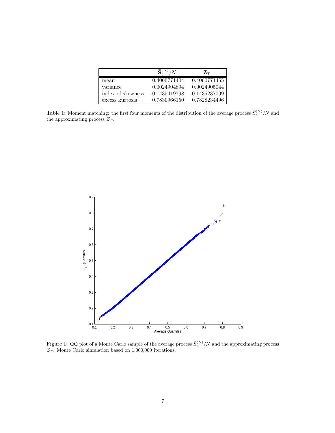|                   |                 | $\mathbf{Z}_T$  |
|-------------------|-----------------|-----------------|
| mean              | 0.4060771404    | 0.4060771455    |
| variance          | 0.0024904894    | 0.0024905044    |
| index of skewness | $-0.1435419798$ | $-0.1435237099$ |
| excess kurtosis   | 0.7830966150    | 0.7828234496    |

<span id="page-7-0"></span>Table 1: Moment matching: the first four moments of the distribution of the average process  $\bar{S}_t^{(N)}/N$  and the approximating process  $\mathbb{Z}_T$ .



<span id="page-7-1"></span>Figure 1: QQ plot of a Monte Carlo sample of the average process  $\bar{S}_t^{(N)}/N$  and the approximating process  $Z_T$ . Monte Carlo simulation based on 1,000,000 iterations.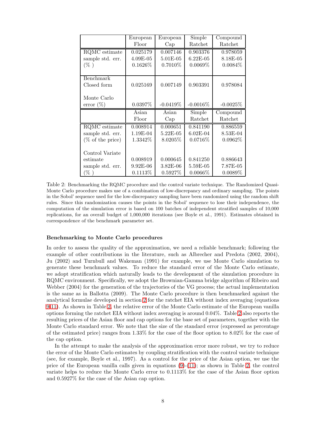|                               | European   | European     | Simple      | Compound   |
|-------------------------------|------------|--------------|-------------|------------|
|                               | Floor      | Cap          | Ratchet     | Ratchet    |
| RQMC estimate                 | 0.025179   | 0.007146     | 0.903376    | 0.978059   |
| sample std. err.              | $4.09E-05$ | 5.01E-05     | $6.22E-05$  | 8.18E-05   |
| $(\%$ )                       | $0.1626\%$ | 0.7010\%     | $0.0069\%$  | $0.0084\%$ |
|                               |            |              |             |            |
| $\overline{\text{Benchmark}}$ |            |              |             |            |
| Closed form                   | 0.025169   | 0.007149     | 0.903391    | 0.978084   |
|                               |            |              |             |            |
| Monte Carlo                   |            |              |             |            |
| $error (\%)$                  | 0.0397%    | $-0.0419%$   | $-0.0016\%$ | $-0.0025%$ |
|                               | Asian      | Asian        | Simple      | Compound   |
|                               | Floor      | Cap          | Ratchet     | Ratchet    |
| RQMC estimate                 | 0.008914   | 0.000651     | 0.841190    | 0.886559   |
| sample std. err.              | 1.19E-04   | 5.22E-05     | $6.02E-04$  | 8.53E-04   |
| $(\% \text{ of the price})$   | 1.3342\%   | 8.0205\%     | 0.0716\%    | $0.0962\%$ |
|                               |            |              |             |            |
| Control Variate               |            |              |             |            |
| estimate                      | 0.008919   | 0.000645     | 0.841250    | 0.886643   |
| sample std. err.              | $9.92E-06$ | $3.82E - 06$ | 5.59E-05    | 7.87E-05   |
| $(\%$ )                       | 0.1113%    | $0.5927\%$   | $0.0066\%$  | $0.0089\%$ |

<span id="page-8-0"></span>Table 2: Benchmarking the RQMC procedure and the control variate technique. The Randomized Quasi-Monte Carlo procedure makes use of a combination of low-discrepancy and ordinary sampling. The points in the Sobol' sequence used for the low-discrepancy sampling have been randomized using the random shift rules. Since this randomization causes the points in the Sobol' sequence to lose their independence, the computation of the simulation error is based on 100 batches of independent stratified samples of 10,000 replications, for an overall budget of 1,000,000 iterations (see Boyle et al., 1991). Estimates obtained in correspondence of the benchmark parameter set.

#### Benchmarking to Monte Carlo procedures

In order to assess the quality of the approximation, we need a reliable benchmark; following the example of other contributions in the literature, such as Albrecher and Predota (2002, 2004), Ju (2002) and Turnbull and Wakeman (1991) for example, we use Monte Carlo simulation to generate these benchmark values. To reduce the standard error of the Monte Carlo estimate, we adopt stratification which naturally leads to the development of the simulation procedure in RQMC environment. Specifically, we adopt the Brownian-Gamma bridge algorithm of Ribeiro and Webber (2004) for the generation of the trajectories of the VG process; the actual implementation is the same as in Ballotta (2009). The Monte Carlo procedure is then benchmarked against the analytical formulae developed in section [2](#page-2-0) for the ratchet EIA without index averaging (equations [9](#page-4-1)[-11\)](#page-4-0). As shown in Table [2,](#page-8-0) the relative error of the Monte Carlo estimate of the European vanilla options forming the ratchet EIA without index averaging is around 0.04%. Table [2](#page-8-0) also reports the resulting prices of the Asian floor and cap options for the base set of parameters, together with the Monte Carlo standard error. We note that the size of the standard error (expressed as percentage of the estimated price) ranges from 1.33% for the case of the floor option to 8.02% for the case of the cap option.

In the attempt to make the analysis of the approximation error more robust, we try to reduce the error of the Monte Carlo estimates by coupling stratification with the control variate technique (see, for example, Boyle et al., 1997). As a control for the price of the Asian option, we use the price of the European vanilla calls given in equations [\(9\)](#page-4-1)-[\(11\)](#page-4-0); as shown in Table [2,](#page-8-0) the control variate helps to reduce the Monte Carlo error to 0.1113% for the case of the Asian floor option and 0.5927% for the case of the Asian cap option.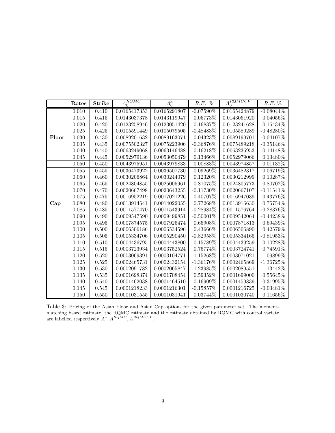|       | Rates       | <b>Strike</b> | $A_0^{RQMC}$ | $A_0^a$      | $R.E.~\%$    | $A_0^{RQMCCV}$ | $R.E.~\%$    |
|-------|-------------|---------------|--------------|--------------|--------------|----------------|--------------|
|       | 0.010       | 0.410         | 0.0165417353 | 0.0165291807 | $-0.07590\%$ | 0.0165424879   | $-0.08044\%$ |
|       | $\,0.015\,$ | 0.415         | 0.0143037378 | 0.0143119947 | $0.05773\%$  | 0.0143061920   | $0.04056\%$  |
|       | 0.020       | 0.420         | 0.0123258946 | 0.0123051420 | $-0.16837%$  | 0.0123241628   | $-0.15434%$  |
|       | 0.025       | 0.425         | 0.0105591449 | 0.0105079505 | $-0.48483%$  | 0.0105589289   | $-0.48280\%$ |
| Floor | 0.030       | 0.430         | 0.0089201632 | 0.0089163071 | $-0.04323%$  | 0.0089199701   | $-0.04107\%$ |
|       | 0.035       | 0.435         | 0.0075502327 | 0.0075223906 | $-0.36876\%$ | 0.0075489218   | $-0.35146%$  |
|       | 0.040       | 0.440         | 0.0063249068 | 0.0063146488 | $-0.16218\%$ | 0.0063235953   | $-0.14148%$  |
|       | 0.045       | 0.445         | 0.0052979136 | 0.0053050479 | 0.13466\%    | 0.0052979066   | 0.13480\%    |
|       | 0.050       | 0.450         | 0.0043975951 | 0.0043979833 | 0.00883%     | 0.0043974857   | 0.01132%     |
|       | 0.055       | 0.455         | 0.0036473922 | 0.0036507730 | $0.09269\%$  | 0.0036482317   | 0.06719\%    |
|       | 0.060       | 0.460         | 0.0030206864 | 0.0030244079 | 0.12320%     | 0.0030212999   | 0.10287%     |
|       | 0.065       | 0.465         | 0.0024804855 | 0.0025005961 | 0.81075%     | 0.0024805773   | 0.80702%     |
|       | 0.070       | 0.470         | 0.0020667498 | 0.0020643255 | $-0.11730\%$ | 0.0020667107   | $-0.11541%$  |
|       | 0.075       | 0.475         | 0.0016952219 | 0.0017021226 | 0.40707\%    | 0.0016947039   | 0.43776%     |
| Cap   | 0.080       | 0.480         | 0.0013914541 | 0.0014022055 | 0.77268%     | 0.0013916630   | 0.75754%     |
|       | 0.085       | 0.485         | 0.0011577470 | 0.0011543914 | $-0.28984\%$ | 0.0011576764   | $-0.28376%$  |
|       | 0.090       | 0.490         | 0.0009547590 | 0.0009499851 | $-0.50001\%$ | 0.0009542064   | $-0.44238%$  |
|       | 0.095       | 0.495         | 0.0007874575 | 0.0007926474 | 0.65908%     | 0.0007871813   | 0.69439%     |
|       | 0.100       | 0.500         | 0.0006506186 | 0.0006534596 | $0.43666\%$  | 0.0006506890   | 0.42579%     |
|       | 0.105       | 0.505         | 0.0005334706 | 0.0005290450 | $-0.82958\%$ | 0.0005334165   | $-0.81953\%$ |
|       | 0.110       | 0.510         | 0.0004436795 | 0.0004443800 | 0.15789%     | 0.0004439259   | 0.10228%     |
|       | 0.115       | 0.515         | 0.0003723934 | 0.0003752524 | $0.76774\%$  | 0.0003724741   | 0.74591\%    |
|       | 0.120       | 0.520         | 0.0003069391 | 0.0003104771 | 1.15268%     | 0.0003071021   | $1.09899\%$  |
|       | 0.125       | 0.525         | 0.0002465731 | 0.0002432154 | $-1.36176%$  | 0.0002465869   | $-1.36725%$  |
|       | 0.130       | 0.530         | 0.0002091782 | 0.0002065847 | $-1.23985%$  | 0.0002089551   | $-1.13442\%$ |
|       | $0.135\,$   | 0.535         | 0.0001698374 | 0.0001708454 | 0.59352%     | 0.0001699000   | 0.55645%     |
|       | 0.140       | 0.540         | 0.0001462038 | 0.0001464510 | 0.16909%     | 0.0001459839   | 0.31995%     |
|       | 0.145       | 0.545         | 0.0001218233 | 0.0001216301 | $-0.15857%$  | 0.0001216725   | $-0.03481\%$ |
|       | 0.150       | 0.550         | 0.0001031555 | 0.0001031941 | 0.03744\%    | 0.0001030740   | $0.11656\%$  |

<span id="page-9-0"></span>Table 3: Pricing of the Asian Floor and Asian Cap options for the given parameter set. The momentmatching based estimate, the RQMC estimate and the estimate obtained by RQMC with control variate are labelled respectively  $A^a$ ,  $A^{RQMC}$ ,  $A^{RQMCCV}$ .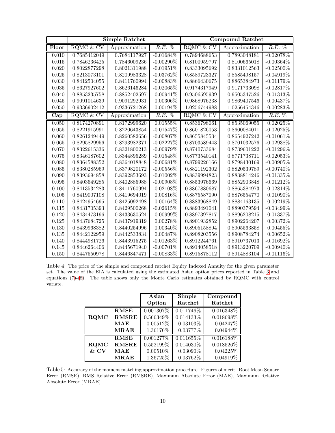|           | Simple Ratchet |               |              | <b>Compound Ratchet</b> |               |              |
|-----------|----------------|---------------|--------------|-------------------------|---------------|--------------|
| Floor     | RQMC & CV      | Approximation | $R.E.$ %     | RQMC & CV               | Approximation | R.E. %       |
| 0.010     | 0.7685412049   | 0.7684117927  | $-0.01684\%$ | 0.7894688653            | 0.7893048181  | $-0.02078\%$ |
| 0.015     | 0.7846236425   | 0.7846009236  | $-0.00290\%$ | 0.8100959797            | 0.8100665018  | $-0.00364\%$ |
| 0.020     | 0.8022877298   | 0.8021311988  | $-0.01951%$  | 0.8333095692            | 0.8331012563  | $-0.02500\%$ |
| $0.025\,$ | 0.8213073101   | 0.8209983328  | $-0.03762\%$ | 0.8589723327            | 0.8585498157  | $-0.04919%$  |
| $0.030\,$ | 0.8412504055   | 0.8411760994  | $-0.00883%$  | 0.8866430675            | 0.8865384973  | $-0.01179%$  |
| 0.035     | 0.8627927602   | 0.8626146284  | $-0.02065%$  | 0.9174317949            | 0.9171733098  | $-0.02817%$  |
| 0.040     | 0.8853235758   | 0.8852402597  | $-0.00941%$  | 0.9506595939            | 0.9505347526  | $-0.01313%$  |
| 0.045     | 0.9091014639   | 0.9091292931  | 0.00306%     | 0.9868976238            | 0.9869407546  | 0.00437%     |
| 0.050     | 0.9336902412   | 0.9336721268  | 0.00194%     | 1.0256744988            | 1.0256454346  | $-0.00283%$  |
| Cap       | RQMC & CV      | Approximation | $R.E.$ %     | RQMC & CV               | Approximation | $R.E. \%$    |
| 0.050     | 0.8174270891   | 0.8172999620  | 0.01555%     | 0.8536798061            | 0.8535069055  | 0.02025%     |
| 0.055     | 0.8221915991   | 0.8220643854  | $-0.01547%$  | 0.8601826053            | 0.8600084011  | $-0.02025%$  |
| 0.060     | 0.8261249449   | 0.8260582656  | $-0.00807\%$ | 0.8655845534            | 0.8654927242  | $-0.01061\%$ |
| 0.065     | 0.8295829956   | 0.8293982371  | $-0.02227%$  | 0.8703589443            | 0.8701032576  | $-0.02938%$  |
| 0.070     | 0.8322615336   | 0.8321800213  | $-0.00979%$  | 0.8740733684            | 0.8739601222  | $-0.01296%$  |
| $0.075\,$ | 0.8346187602   | 0.8344895289  | $-0.01548\%$ | 0.8773540141            | 0.8771738711  | $-0.02053%$  |
| 0.080     | 0.8364588352   | 0.8364018848  | $-0.00681\%$ | 0.8799226166            | 0.8798430169  | $-0.00905%$  |
| 0.085     | 0.8380285969   | 0.8379820172  | $-0.00556%$  | 0.8821192302            | 0.8820539789  | $-0.00740\%$ |
| 0.090     | 0.8393694858   | 0.8392853693  | $-0.01002\%$ | 0.8839994823            | 0.8838814246  | $-0.01335%$  |
| 0.095     | 0.8403649285   | 0.8402885988  | $-0.00908%$  | 0.8853976669            | 0.8852903848  | $-0.01212\%$ |
| 0.100     | 0.8413534283   | 0.8411760994  | $-0.02108%$  | 0.8867880687            | 0.8865384973  | $-0.02814\%$ |
| 0.105     | 0.8419007108   | 0.8419694019  | $0.00816\%$  | 0.8875587090            | 0.8876554770  | 0.01090%     |
| 0.110     | 0.8424954695   | 0.8425092498  | $0.00164\%$  | 0.8883968849            | 0.8884163135  | $0.00219\%$  |
| 0.115     | 0.8431705393   | 0.8429500268  | $-0.02615\%$ | 0.8893491041            | 0.8890379594  | $-0.03499%$  |
| 0.120     | 0.8434473196   | 0.8433630524  | $-0.00999\%$ | 0.8897397817            | 0.8896208215  | $-0.01337%$  |
| 0.125     | 0.8437684725   | 0.8437919319  | $0.00278\%$  | 0.8901932852            | 0.8902264207  | 0.00372%     |
| 0.130     | 0.8439968382   | 0.8440254996  | $0.00340\%$  | 0.8905158894            | 0.8905563858  | 0.00455%     |
| 0.135     | 0.8442122959   | 0.8442533834  | 0.00487%     | 0.8908203556            | 0.8908784274  | $0.00652\%$  |
| 0.140     | 0.8444981726   | 0.8443915275  | $-0.01263%$  | 0.8912244761            | 0.8910737013  | $-0.01692%$  |
| 0.145     | 0.8446264406   | 0.8445671940  | $-0.00701%$  | 0.8914058518            | 0.8913220709  | $-0.00940\%$ |
| 0.150     | 0.8447550978   | 0.8446847471  | $-0.00833\%$ | 0.8915878112            | 0.8914883104  | $-0.01116%$  |

<span id="page-10-0"></span>Table 4: The price of the simple and compound ratchet Equity Indexed Annuity for the given parameter set. The value of the EIA is calculated using the estimated Asian option prices reported in Table [3](#page-9-0) and equations [\(7\)](#page-4-2)-[\(8\)](#page-4-2). The table shows only the Monte Carlo estimates obtained by RQMC with control variate.

|             |              | Asian       | Simple      | Compound     |
|-------------|--------------|-------------|-------------|--------------|
|             |              | Option      | Ratchet     | Ratchet      |
|             | <b>RMSE</b>  | 0.001307%   | 0.011746\%  | 0.016348%    |
| <b>RQMC</b> | <b>RMSRE</b> | 0.566349%   | 0.014133%   | $0.018698\%$ |
|             | MAE          | 0.00512%    | 0.03103%    | 0.04247%     |
|             | <b>MRAE</b>  | 1.36176%    | $0.03777\%$ | $0.04944\%$  |
|             | <b>RMSE</b>  | 0.001277%   | 0.011655%   | 0.016188%    |
| <b>RQMC</b> | <b>RMSRE</b> | 0.552199%   | 0.014030%   | $0.018526\%$ |
| $\&$ CV     | MAE          | $0.00510\%$ | $0.03090\%$ | 0.04225%     |
|             | <b>MRAE</b>  | 1.36725%    | 0.03762%    | 0.04919%     |

<span id="page-10-1"></span>Table 5: Accuracy of the moment matching approximation procedure. Figures of merit: Root Mean Square Error (RMSE), RMS Relative Error (RMSRE), Maximum Absolute Error (MAE), Maximum Relative Absolute Error (MRAE).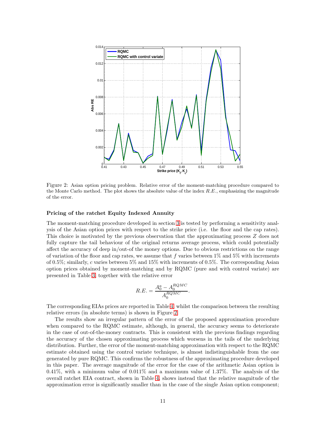

<span id="page-11-0"></span>Figure 2: Asian option pricing problem. Relative error of the moment-matching procedure compared to the Monte Carlo method. The plot shows the absolute value of the index  $R.E.,$  emphasizing the magnitude of the error.

#### Pricing of the ratchet Equity Indexed Annuity

The moment-matching procedure developed in section [3](#page-5-0) is tested by performing a sensitivity analysis of the Asian option prices with respect to the strike price (i.e. the floor and the cap rates). This choice is motivated by the previous observation that the approximating process Z does not fully capture the tail behaviour of the original returns average process, which could potentially affect the accuracy of deep in/out-of the money options. Due to obvious restrictions on the range of variation of the floor and cap rates, we assume that f varies between  $1\%$  and  $5\%$  with increments of 0.5%; similarly, c varies between 5% and 15% with increments of 0.5%. The corresponding Asian option prices obtained by moment-matching and by RQMC (pure and with control variate) are presented in Table [3,](#page-9-0) together with the relative error

$$
R.E. = \frac{A_0^a - A_0^{RQMC}}{A_0^{RQMC}}.
$$

The corresponding EIAs prices are reported in Table [4,](#page-10-0) whilst the comparison between the resulting relative errors (in absolute terms) is shown in Figure [2.](#page-11-0)

The results show an irregular pattern of the error of the proposed approximation procedure when compared to the RQMC estimate, although, in general, the accuracy seems to deteriorate in the case of out-of-the-money contracts. This is consistent with the previous findings regarding the accuracy of the chosen approximating process which worsens in the tails of the underlying distribution. Further, the error of the moment-matching approximation with respect to the RQMC estimate obtained using the control variate technique, is almost indistinguishable from the one generated by pure RQMC. This confirms the robustness of the approximating procedure developed in this paper. The average magnitude of the error for the case of the arithmetic Asian option is  $0.41\%$ , with a minimum value of  $0.011\%$  and a maximum value of 1.37%. The analysis of the overall ratchet EIA contract, shown in Table [4,](#page-10-0) shows instead that the relative magnitude of the approximation error is significantly smaller than in the case of the single Asian option component;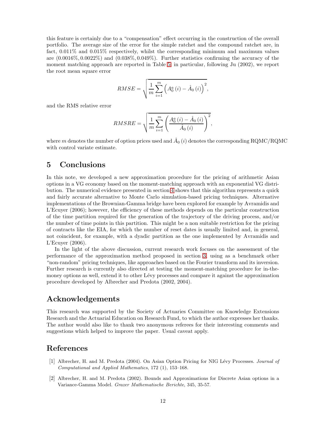this feature is certainly due to a "compensation" effect occurring in the construction of the overall portfolio. The average size of the error for the simple ratchet and the compound ratchet are, in fact, 0.011% and 0.015% respectively, whilst the corresponding minimum and maximum values are  $(0.0016\%, 0.0022\%)$  and  $(0.038\%, 0.049\%)$ . Further statistics confirming the accuracy of the moment matching approach are reported in Table [5;](#page-10-1) in particular, following Ju (2002), we report the root mean square error

$$
RMSE = \sqrt{\frac{1}{m} \sum_{i=1}^{m} \left( A_0^a(i) - \hat{A}_0(i) \right)^2},
$$

and the RMS relative error

RMSRE = 
$$
\sqrt{\frac{1}{m} \sum_{i=1}^{m} \left( \frac{A_0^a(i) - \hat{A}_0(i)}{\hat{A}_0(i)} \right)^2}
$$
,

where  $m$  denotes the number of option prices used and  $\hat{A}_{0}\left(i\right)$  denotes the corresponding  $\text{RQMC}/\text{RQMC}$ with control variate estimate.

## <span id="page-12-0"></span>5 Conclusions

In this note, we developed a new approximation procedure for the pricing of arithmetic Asian options in a VG economy based on the moment-matching approach with an exponential VG distribution. The numerical evidence presented in section [4](#page-6-0) shows that this algorithm represents a quick and fairly accurate alternative to Monte Carlo simulation-based pricing techniques. Alternative implementations of the Brownian-Gamma bridge have been explored for example by Avramidis and L'Ecuyer (2006); however, the efficiency of these methods depends on the particular construction of the time partition required for the generation of the trajectory of the driving process, and/or the number of time points in this partition. This might be a non suitable restriction for the pricing of contracts like the EIA, for which the number of reset dates is usually limited and, in general, not coincident, for example, with a dyadic partition as the one implemented by Avramidis and L'Ecuyer (2006).

In the light of the above discussion, current research work focuses on the assessment of the performance of the approximation method proposed in section [3,](#page-5-0) using as a benchmark other "non-random" pricing techniques, like approaches based on the Fourier transform and its inversion. Further research is currently also directed at testing the moment-matching procedure for in-themoney options as well, extend it to other Lévy processes and compare it against the approximation procedure developed by Albrecher and Predota (2002, 2004).

## Acknowledgements

This research was supported by the Society of Actuaries Committee on Knowledge Extensions Research and the Actuarial Education on Research Fund, to which the author expresses her thanks. The author would also like to thank two anonymous referees for their interesting comments and suggestions which helped to improve the paper. Usual caveat apply.

## References

- [1] Albrecher, H. and M. Predota (2004). On Asian Option Pricing for NIG Lévy Processes. Journal of Computational and Applied Mathematics, 172 (1), 153–168.
- [2] Albrecher, H. and M. Predota (2002). Bounds and Approximations for Discrete Asian options in a Variance-Gamma Model. Grazer Mathematische Berichte, 345, 35-57.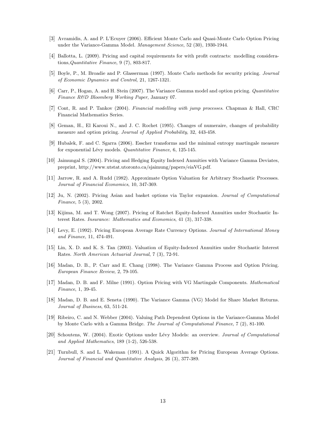- [3] Avramidis, A. and P. L'Ecuyer (2006). Efficient Monte Carlo and Quasi-Monte Carlo Option Pricing under the Variance-Gamma Model. Management Science, 52 (30), 1930-1944.
- [4] Ballotta, L. (2009). Pricing and capital requirements for with profit contracts: modelling considerations,Quantitative Finance, 9 (7), 803-817.
- [5] Boyle, P., M. Broadie and P. Glasserman (1997). Monte Carlo methods for security pricing. Journal of Economic Dynamics and Control, 21, 1267-1321.
- [6] Carr, P., Hogan, A. and H. Stein (2007). The Variance Gamma model and option pricing. Quantitative Finance R&D Bloomberg Working Paper, January 07.
- [7] Cont, R. and P. Tankov (2004). Financial modelling with jump processes. Chapman & Hall, CRC Financial Mathematics Series.
- [8] Geman, H., El Karoui N., and J. C. Rochet (1995). Changes of numeraire, changes of probability measure and option pricing. Journal of Applied Probability, 32, 443-458.
- [9] Hubalek, F. and C. Sgarra (2006). Esscher transforms and the minimal entropy martingale measure for exponential Lévy models. Quantitative Finance, 6, 125-145.
- [10] Jaimungal S. (2004). Pricing and Hedging Equity Indexed Annuities with Variance Gamma Deviates, preprint, http://www.utstat.utoronto.ca/sjaimung/papers/eiaVG.pdf.
- [11] Jarrow, R. and A. Rudd (1982). Approximate Option Valuation for Arbitrary Stochastic Processes. Journal of Financial Economics, 10, 347-369.
- [12] Ju, N. (2002). Pricing Asian and basket options via Taylor expansion. Journal of Computational Finance, 5 (3), 2002.
- [13] Kijima, M. and T. Wong (2007). Pricing of Ratchet Equity-Indexed Annuities under Stochastic Interest Rates. Insurance: Mathematics and Economics, 41 (3), 317-338.
- [14] Levy, E. (1992). Pricing European Average Rate Currency Options. Journal of International Money and Finance, 11, 474-491.
- [15] Lin, X. D. and K. S. Tan (2003). Valuation of Equity-Indexed Annuities under Stochastic Interest Rates. North American Actuarial Journal, 7 (3), 72-91.
- [16] Madan, D. B., P. Carr and E. Chang (1998). The Variance Gamma Process and Option Pricing. European Finance Review, 2, 79-105.
- [17] Madan, D. B. and F. Milne (1991). Option Pricing with VG Martingale Components. Mathematical Finance, 1, 39-45.
- [18] Madan, D. B. and E. Seneta (1990). The Variance Gamma (VG) Model for Share Market Returns. Journal of Business, 63, 511-24.
- [19] Ribeiro, C. and N. Webber (2004). Valuing Path Dependent Options in the Variance-Gamma Model by Monte Carlo with a Gamma Bridge. The Journal of Computational Finance, 7 (2), 81-100.
- [20] Schoutens, W. (2004). Exotic Options under Lévy Models: an overview. *Journal of Computational* and Applied Mathematics, 189 (1-2), 526-538.
- [21] Turnbull, S. and L. Wakeman (1991). A Quick Algorithm for Pricing European Average Options. Journal of Financial and Quantitative Analysis, 26 (3), 377-389.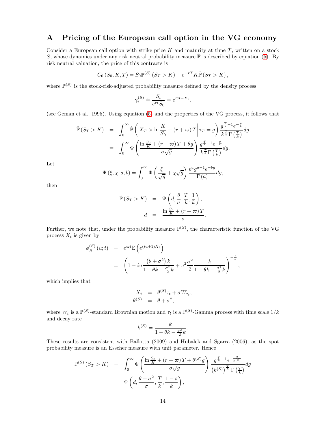## A Pricing of the European call option in the VG economy

Consider a European call option with strike price  $K$  and maturity at time  $T$ , written on a stock S, whose dynamics under any risk neutral probability measure  $\hat{P}$  is described by equation [\(5\)](#page-3-1). By risk neutral valuation, the price of this contracts is

$$
C_0(S_0, K, T) = S_0 \mathbb{P}^{(S)} (S_T > K) - e^{-rT} K \hat{\mathbb{P}} (S_T > K),
$$

where  $\mathbb{P}^{(S)}$  is the stock-risk-adjusted probability measure defined by the density process

$$
\gamma_t^{(S)} \doteq \frac{S_t}{e^{rt}S_0} = e^{\varpi t + X_t},
$$

(see Geman et al., 1995). Using equation [\(5\)](#page-3-1) and the properties of the VG process, it follows that

$$
\hat{\mathbb{P}}(S_T > K) = \int_0^\infty \hat{\mathbb{P}}\left(X_T > \ln\frac{K}{S_0} - (r+\varpi)T\middle|\tau_T = g\right)\frac{g^{\frac{T}{k}-1}e^{-\frac{g}{k}}}{k^{\frac{T}{k}}\Gamma\left(\frac{T}{k}\right)}dg
$$
\n
$$
= \int_0^\infty \Phi\left(\frac{\ln\frac{S_0}{K} + (r+\varpi)T + \theta g}{\sigma\sqrt{g}}\right)\frac{g^{\frac{T}{k}-1}e^{-\frac{g}{k}}}{k^{\frac{T}{k}}\Gamma\left(\frac{T}{k}\right)}dg.
$$

Let

$$
\Psi\left(\xi,\chi,a,b\right) \doteq \int_0^\infty \Phi\left(\frac{\xi}{\sqrt{g}} + \chi\sqrt{g}\right) \frac{b^a g^{a-1} e^{-bg}}{\Gamma\left(a\right)} dg,
$$

then

$$
\hat{\mathbb{P}}(S_T > K) = \Psi\left(d, \frac{\theta}{\sigma}, \frac{T}{k}, \frac{1}{k}\right),
$$
  

$$
d = \frac{\ln \frac{S_0}{K} + (r + \varpi)T}{\sigma}.
$$

Further, we note that, under the probability measure  $\mathbb{P}^{(S)}$ , the characteristic function of the VG process  $X_t$  is given by

$$
\begin{array}{rcl}\n\phi_X^{(S)}(u;t) & = & e^{\varpi t} \hat{\mathbb{E}} \left( e^{(iu+1)X_t} \right) \\
& = & \left( 1 - iu \frac{\left( \theta + \sigma^2 \right) k}{1 - \theta k - \frac{\sigma^2}{2} k} + u^2 \frac{\sigma^2}{2} \frac{k}{1 - \theta k - \frac{\sigma^2}{2} k} \right)^{-\frac{t}{k}},\n\end{array}
$$

which implies that

$$
X_t = \theta^{(S)} \tau_t + \sigma W_{\tau_t},
$$
  

$$
\theta^{(S)} = \theta + \sigma^2,
$$

where  $W_t$  is a  $\mathbb{P}^{(S)}$ -standard Brownian motion and  $\tau_t$  is a  $\mathbb{P}^{(S)}$ -Gamma process with time scale  $1/k$ and decay rate

$$
k^{(S)} = \frac{k}{1 - \theta k - \frac{\sigma^2}{2}k}.
$$

These results are consistent with Ballotta (2009) and Hubalek and Sgarra (2006), as the spot probability measure is an Esscher measure with unit parameter. Hence

$$
\mathbb{P}^{(S)}\left(S_T > K\right) = \int_0^\infty \Phi\left(\frac{\ln\frac{S_0}{K} + \left(r + \varpi\right)T + \theta^{(S)}g}{\sigma\sqrt{g}}\right) \frac{g^{\frac{T}{k} - 1}e^{-\frac{g}{k^{(S)}}}}{\left(k^{(S)}\right)^{\frac{T}{k}}\Gamma\left(\frac{T}{k}\right)} dg
$$
\n
$$
= \Psi\left(d, \frac{\theta + \sigma^2}{\sigma}, \frac{T}{k}, \frac{1 - s}{k}\right),
$$